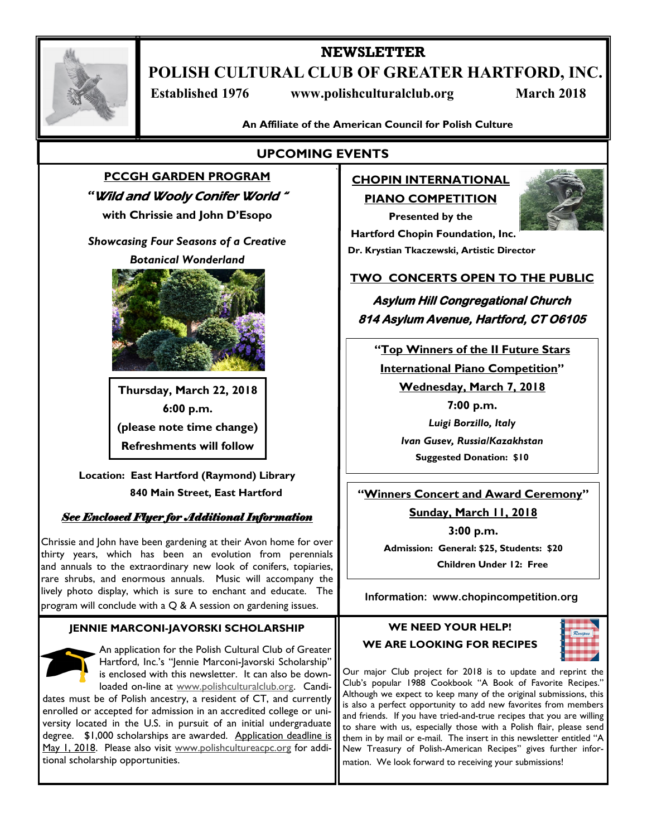

# **NEWSLETTER POLISH CULTURAL CLUB OF GREATER HARTFORD, INC.**

 **Established 1976 www.polishculturalclub.org March 2018**

**An Affiliate of the American Council for Polish Culture**

# **UPCOMING EVENTS**

# **PCCGH GARDEN PROGRAM**  *"*Wild and Wooly Conifer World "

**with Chrissie and John D'Esopo**

*Showcasing Four Seasons of a Creative* 

*Botanical Wonderland* 



**Thursday, March 22, 2018 6:00 p.m. (please note time change) Refreshments will follow**

**Location: East Hartford (Raymond) Library 840 Main Street, East Hartford**

# *See Enclosed Flyer for Additional Information*

Chrissie and John have been gardening at their Avon home for over thirty years, which has been an evolution from perennials and annuals to the extraordinary new look of conifers, topiaries, rare shrubs, and enormous annuals. Music will accompany the lively photo display, which is sure to enchant and educate. The program will conclude with a Q & A session on gardening issues.

#### **JENNIE MARCONI-JAVORSKI SCHOLARSHIP**

An application for the Polish Cultural Club of Greater Hartford, Inc.'s "Jennie Marconi-Javorski Scholarship" is enclosed with this newsletter. It can also be downloaded on-line at [www.polishculturalclub.org.](http://www.polishculturalclub.org) Candi-

dates must be of Polish ancestry, a resident of CT, and currently enrolled or accepted for admission in an accredited college or university located in the U.S. in pursuit of an initial undergraduate degree. \$1,000 scholarships are awarded. Application deadline is May 1, 2018. Please also visit www.polishcultureacpc.org for additional scholarship opportunities.

# **CHOPIN INTERNATIONAL PIANO COMPETITION**

**Presented by the**



 **Hartford Chopin Foundation, Inc. Dr. Krystian Tkaczewski, Artistic Director**

# **TWO CONCERTS OPEN TO THE PUBLIC**

**Asylum Hill Congregational Church 814 Asylum Avenue, Hartford, CT O6105** 

**"Top Winners of the II Future Stars International Piano Competition" Wednesday, March 7, 2018**

> **7:00 p.m.** *Luigi Borzillo, Italy Ivan Gusev, Russia/Kazakhstan* **Suggested Donation: \$10**

**"Winners Concert and Award Ceremony"**

**Sunday, March 11, 2018**

**3:00 p.m.**

**Admission: General: \$25, Students: \$20 Children Under 12: Free**

**Information: www.chopincompetition.org**

#### **WE NEED YOUR HELP! WE ARE LOOKING FOR RECIPES**



Our major Club project for 2018 is to update and reprint the Club's popular 1988 Cookbook "A Book of Favorite Recipes." Although we expect to keep many of the original submissions, this is also a perfect opportunity to add new favorites from members and friends. If you have tried-and-true recipes that you are willing to share with us, especially those with a Polish flair, please send them in by mail or e-mail. The insert in this newsletter entitled "A New Treasury of Polish-American Recipes" gives further information. We look forward to receiving your submissions!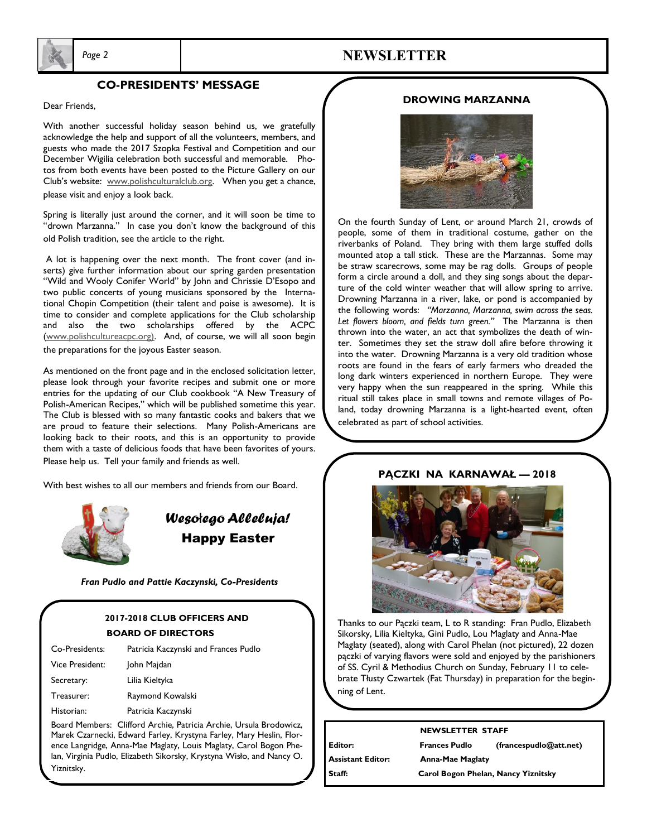

# *Page 2* **NEWSLETTER**

#### **CO-PRESIDENTS' MESSAGE**

Dear Friends,

With another successful holiday season behind us, we gratefully acknowledge the help and support of all the volunteers, members, and guests who made the 2017 Szopka Festival and Competition and our December Wigilia celebration both successful and memorable. Photos from both events have been posted to the Picture Gallery on our Club's website: www.polishculturalclub.org. When you get a chance, please visit and enjoy a look back.

Spring is literally just around the corner, and it will soon be time to "drown Marzanna." In case you don't know the background of this old Polish tradition, see the article to the right.

A lot is happening over the next month. The front cover (and inserts) give further information about our spring garden presentation "Wild and Wooly Conifer World" by John and Chrissie D'Esopo and two public concerts of young musicians sponsored by the International Chopin Competition (their talent and poise is awesome). It is time to consider and complete applications for the Club scholarship and also the two scholarships offered by the ACPC (www.polishcultureacpc.org). And, of course, we will all soon begin the preparations for the joyous Easter season.

As mentioned on the front page and in the enclosed solicitation letter, please look through your favorite recipes and submit one or more entries for the updating of our Club cookbook "A New Treasury of Polish-American Recipes," which will be published sometime this year. The Club is blessed with so many fantastic cooks and bakers that we are proud to feature their selections. Many Polish-Americans are looking back to their roots, and this is an opportunity to provide them with a taste of delicious foods that have been favorites of yours. Please help us. Tell your family and friends as well.

With best wishes to all our members and friends from our Board.



ŗ

*Weso*ł*ego Alleluja!* Happy Easter

*Fran Pudlo and Pattie Kaczynski, Co-Presidents*

### **2017-2018 CLUB OFFICERS AND BOARD OF DIRECTORS**

| Co-Presidents:  | Patricia Kaczynski and Frances Pudlo |
|-----------------|--------------------------------------|
| Vice President: | John Majdan                          |
| Secretary:      | Lilia Kieltyka                       |
| Treasurer:      | Raymond Kowalski                     |
| Historian:      | Patricia Kaczynski                   |
|                 |                                      |

Board Members: Clifford Archie, Patricia Archie, Ursula Brodowicz, Marek Czarnecki, Edward Farley, Krystyna Farley, Mary Heslin, Florence Langridge, Anna-Mae Maglaty, Louis Maglaty, Carol Bogon Phelan, Virginia Pudlo, Elizabeth Sikorsky, Krystyna Wisło, and Nancy O. Yiznitsky.

#### **DROWING MARZANNA**



On the fourth Sunday of Lent, or around March 21, crowds of people, some of them in traditional costume, gather on the riverbanks of Poland. They bring with them large stuffed dolls mounted atop a tall stick. These are the Marzannas. Some may be straw scarecrows, some may be rag dolls. Groups of people form a circle around a doll, and they sing songs about the departure of the cold winter weather that will allow spring to arrive. Drowning Marzanna in a river, lake, or pond is accompanied by the following words: *"Marzanna, Marzanna, swim across the seas. Let flowers bloom, and fields turn green."* The Marzanna is then thrown into the water, an act that symbolizes the death of winter. Sometimes they set the straw doll afire before throwing it into the water. Drowning Marzanna is a very old tradition whose roots are found in the fears of early farmers who dreaded the long dark winters experienced in northern Europe. They were very happy when the sun reappeared in the spring. While this ritual still takes place in small towns and remote villages of Poland, today drowning Marzanna is a light-hearted event, often celebrated as part of school activities.



**PĄCZKI NA KARNAWAŁ — 2018**

Thanks to our Pączki team, L to R standing: Fran Pudlo, Elizabeth Sikorsky, Lilia Kieltyka, Gini Pudlo, Lou Maglaty and Anna-Mae Maglaty (seated), along with Carol Phelan (not pictured), 22 dozen pączki of varying flavors were sold and enjoyed by the parishioners of SS. Cyril & Methodius Church on Sunday, February 11 to celebrate Tłusty Czwartek (Fat Thursday) in preparation for the beginning of Lent.

|                          | <b>NEWSLETTER STAFF</b>             |                        |  |
|--------------------------|-------------------------------------|------------------------|--|
| l Editor:                | <b>Frances Pudlo</b>                | (francespudlo@att.net) |  |
| <b>Assistant Editor:</b> | <b>Anna-Mae Maglaty</b>             |                        |  |
| Staff:                   | Carol Bogon Phelan, Nancy Yiznitsky |                        |  |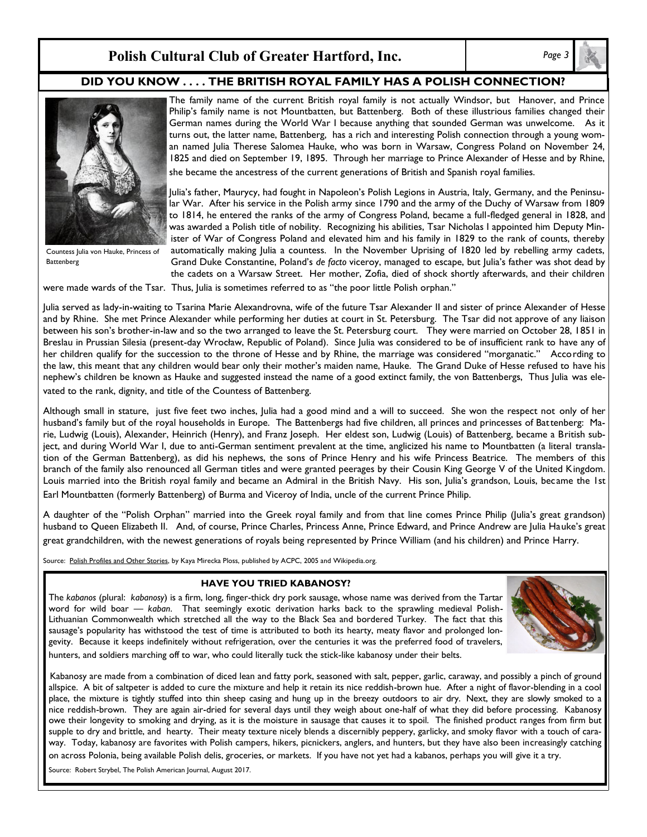# **Polish Cultural Club of Greater Hartford, Inc.** *Page 3*

#### **DID YOU KNOW . . . . THE BRITISH ROYAL FAMILY HAS A POLISH CONNECTION?**



Countess Julia von Hauke, Princess of **Battenberg** 

The family name of the current British royal family is not actually Windsor, but Hanover, and Prince Philip's family name is not Mountbatten, but Battenberg. Both of these illustrious families changed their German names during the World War I because anything that sounded German was unwelcome. As it turns out, the latter name, Battenberg, has a rich and interesting Polish connection through a young woman named Julia Therese Salomea Hauke, who was born in Warsaw, Congress Poland on November 24, 1825 and died on September 19, 1895. Through her marriage to Prince Alexander of Hesse and by Rhine, she became the ancestress of the current generations of British and Spanish royal families.

Julia's father, Maurycy, had fought in Napoleon's Polish Legions in Austria, Italy, Germany, and the Peninsular War. After his service in the Polish army since 1790 and the army of the Duchy of Warsaw from 1809 to 1814, he entered the ranks of the army of Congress Poland, became a full-fledged general in 1828, and was awarded a Polish title of nobility. Recognizing his abilities, Tsar Nicholas I appointed him Deputy Minister of War of Congress Poland and elevated him and his family in 1829 to the rank of counts, thereby automatically making Julia a countess. In the November Uprising of 1820 led by rebelling army cadets, Grand Duke Constantine, Poland's *de facto* viceroy, managed to escape, but Julia's father was shot dead by the cadets on a Warsaw Street. Her mother, Zofia, died of shock shortly afterwards, and their children

were made wards of the Tsar. Thus, Julia is sometimes referred to as "the poor little Polish orphan."

Julia served as lady-in-waiting to Tsarina Marie Alexandrovna, wife of the future Tsar Alexander II and sister of prince Alexander of Hesse and by Rhine. She met Prince Alexander while performing her duties at court in St. Petersburg. The Tsar did not approve of any liaison between his son's brother-in-law and so the two arranged to leave the St. Petersburg court. They were married on October 28, 1851 in Breslau in Prussian Silesia (present-day Wrocław, Republic of Poland). Since Julia was considered to be of insufficient rank to have any of her children qualify for the succession to the throne of Hesse and by Rhine, the marriage was considered "morganatic." According to the law, this meant that any children would bear only their mother's maiden name, Hauke. The Grand Duke of Hesse refused to have his nephew's children be known as Hauke and suggested instead the name of a good extinct family, the von Battenbergs, Thus Julia was elevated to the rank, dignity, and title of the Countess of Battenberg.

Although small in stature, just five feet two inches, Julia had a good mind and a will to succeed. She won the respect not only of her husband's family but of the royal households in Europe. The Battenbergs had five children, all princes and princesses of Battenberg: Marie, Ludwig (Louis), Alexander, Heinrich (Henry), and Franz Joseph. Her eldest son, Ludwig (Louis) of Battenberg, became a British subject, and during World War I, due to anti-German sentiment prevalent at the time, anglicized his name to Mountbatten (a literal translation of the German Battenberg), as did his nephews, the sons of Prince Henry and his wife Princess Beatrice. The members of this branch of the family also renounced all German titles and were granted peerages by their Cousin King George V of the United Kingdom. Louis married into the British royal family and became an Admiral in the British Navy. His son, Julia's grandson, Louis, became the 1st Earl Mountbatten (formerly Battenberg) of Burma and Viceroy of India, uncle of the current Prince Philip.

A daughter of the "Polish Orphan" married into the Greek royal family and from that line comes Prince Philip (Julia's great grandson) husband to Queen Elizabeth II. And, of course, Prince Charles, Princess Anne, Prince Edward, and Prince Andrew are Julia Hauke's great great grandchildren, with the newest generations of royals being represented by Prince William (and his children) and Prince Harry.

Source: Polish Profiles and Other Stories, by Kaya Mirecka Ploss, published by ACPC, 2005 and Wikipedia.org.

#### **HAVE YOU TRIED KABANOSY?**

The *kabanos* (plural: *kabanosy*) is a firm, long, finger-thick dry pork sausage, whose name was derived from the Tartar word for wild boar — *kaban*. That seemingly exotic derivation harks back to the sprawling medieval Polish-Lithuanian Commonwealth which stretched all the way to the Black Sea and bordered Turkey. The fact that this sausage's popularity has withstood the test of time is attributed to both its hearty, meaty flavor and prolonged longevity. Because it keeps indefinitely without refrigeration, over the centuries it was the preferred food of travelers, hunters, and soldiers marching off to war, who could literally tuck the stick-like kabanosy under their belts.



 Kabanosy are made from a combination of diced lean and fatty pork, seasoned with salt, pepper, garlic, caraway, and possibly a pinch of ground allspice. A bit of saltpeter is added to cure the mixture and help it retain its nice reddish-brown hue. After a night of flavor-blending in a cool place, the mixture is tightly stuffed into thin sheep casing and hung up in the breezy outdoors to air dry. Next, they are slowly smoked to a nice reddish-brown. They are again air-dried for several days until they weigh about one-half of what they did before processing. Kabanosy owe their longevity to smoking and drying, as it is the moisture in sausage that causes it to spoil. The finished product ranges from firm but supple to dry and brittle, and hearty. Their meaty texture nicely blends a discernibly peppery, garlicky, and smoky flavor with a touch of caraway. Today, kabanosy are favorites with Polish campers, hikers, picnickers, anglers, and hunters, but they have also been increasingly catching on across Polonia, being available Polish delis, groceries, or markets. If you have not yet had a kabanos, perhaps you will give it a try.

Source: Robert Strybel, The Polish American Journal, August 2017.